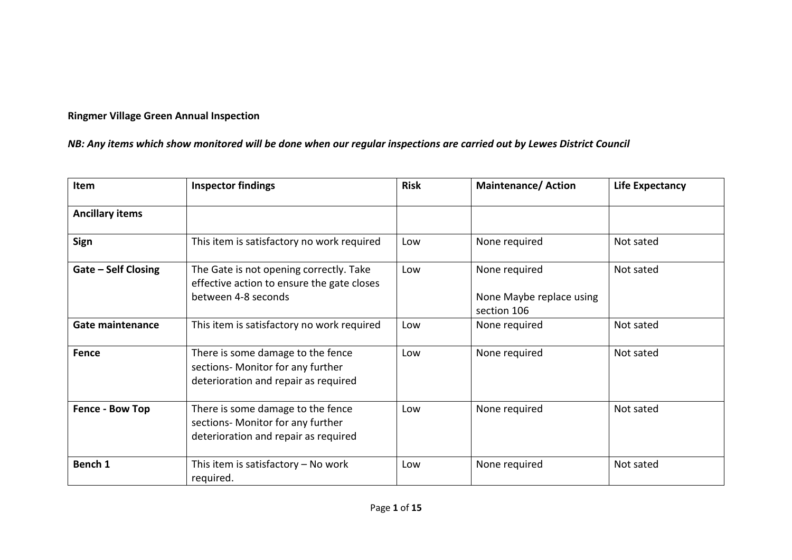## **Ringmer Village Green Annual Inspection**

## *NB: Any items which show monitored will be done when our regular inspections are carried out by Lewes District Council*

| <b>Item</b>                | <b>Inspector findings</b>                                                                                      | <b>Risk</b> | <b>Maintenance/Action</b>                                | <b>Life Expectancy</b> |
|----------------------------|----------------------------------------------------------------------------------------------------------------|-------------|----------------------------------------------------------|------------------------|
| <b>Ancillary items</b>     |                                                                                                                |             |                                                          |                        |
| Sign                       | This item is satisfactory no work required                                                                     | Low         | None required                                            | Not sated              |
| <b>Gate - Self Closing</b> | The Gate is not opening correctly. Take<br>effective action to ensure the gate closes<br>between 4-8 seconds   | Low         | None required<br>None Maybe replace using<br>section 106 | Not sated              |
| <b>Gate maintenance</b>    | This item is satisfactory no work required                                                                     | Low         | None required                                            | Not sated              |
| <b>Fence</b>               | There is some damage to the fence<br>sections- Monitor for any further<br>deterioration and repair as required | Low         | None required                                            | Not sated              |
| Fence - Bow Top            | There is some damage to the fence<br>sections- Monitor for any further<br>deterioration and repair as required | Low         | None required                                            | Not sated              |
| Bench 1                    | This item is satisfactory $-$ No work<br>required.                                                             | Low         | None required                                            | Not sated              |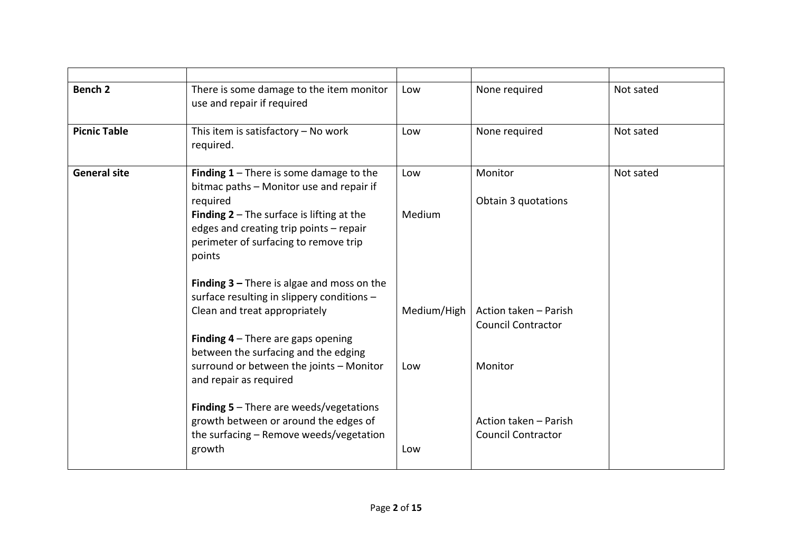| Bench <sub>2</sub>  | There is some damage to the item monitor<br>use and repair if required                                                                                                                                                                                              | Low                | None required                                                 | Not sated |
|---------------------|---------------------------------------------------------------------------------------------------------------------------------------------------------------------------------------------------------------------------------------------------------------------|--------------------|---------------------------------------------------------------|-----------|
| <b>Picnic Table</b> | This item is satisfactory $-$ No work<br>required.                                                                                                                                                                                                                  | Low                | None required                                                 | Not sated |
| <b>General site</b> | Finding $1$ – There is some damage to the<br>bitmac paths - Monitor use and repair if<br>required<br><b>Finding 2</b> $-$ The surface is lifting at the<br>edges and creating trip points - repair<br>perimeter of surfacing to remove trip<br>points               | Low<br>Medium      | Monitor<br>Obtain 3 quotations                                | Not sated |
|                     | <b>Finding 3 – There is algae and moss on the</b><br>surface resulting in slippery conditions -<br>Clean and treat appropriately<br><b>Finding 4</b> $-$ There are gaps opening<br>between the surfacing and the edging<br>surround or between the joints - Monitor | Medium/High<br>Low | Action taken - Parish<br><b>Council Contractor</b><br>Monitor |           |
|                     | and repair as required<br><b>Finding 5</b> $-$ There are weeds/vegetations<br>growth between or around the edges of<br>the surfacing - Remove weeds/vegetation<br>growth                                                                                            | Low                | Action taken - Parish<br><b>Council Contractor</b>            |           |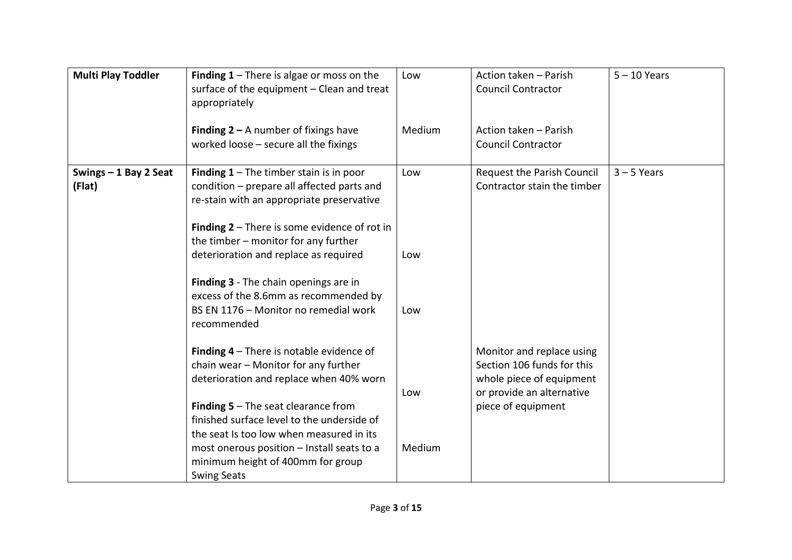| <b>Multi Play Toddler</b>       | <b>Finding 1</b> – There is algae or moss on the<br>surface of the equipment - Clean and treat<br>appropriately                                                                        | Low    | Action taken - Parish<br><b>Council Contractor</b>                                  | $5 - 10$ Years |
|---------------------------------|----------------------------------------------------------------------------------------------------------------------------------------------------------------------------------------|--------|-------------------------------------------------------------------------------------|----------------|
|                                 | <b>Finding 2 – A number of fixings have</b><br>worked loose $-$ secure all the fixings                                                                                                 | Medium | Action taken - Parish<br><b>Council Contractor</b>                                  |                |
| Swings - 1 Bay 2 Seat<br>(Flat) | Finding $1$ – The timber stain is in poor<br>condition - prepare all affected parts and<br>re-stain with an appropriate preservative<br>Finding $2$ – There is some evidence of rot in | Low    | Request the Parish Council<br>Contractor stain the timber                           | $3 - 5$ Years  |
|                                 | the timber - monitor for any further<br>deterioration and replace as required                                                                                                          | Low    |                                                                                     |                |
|                                 | Finding 3 - The chain openings are in<br>excess of the 8.6mm as recommended by<br>BS EN 1176 - Monitor no remedial work<br>recommended                                                 | Low    |                                                                                     |                |
|                                 | <b>Finding 4</b> $-$ There is notable evidence of<br>chain wear - Monitor for any further<br>deterioration and replace when 40% worn                                                   |        | Monitor and replace using<br>Section 106 funds for this<br>whole piece of equipment |                |
|                                 | <b>Finding 5</b> $-$ The seat clearance from<br>finished surface level to the underside of                                                                                             | Low    | or provide an alternative<br>piece of equipment                                     |                |
|                                 | the seat Is too low when measured in its<br>most onerous position - Install seats to a<br>minimum height of 400mm for group<br><b>Swing Seats</b>                                      | Medium |                                                                                     |                |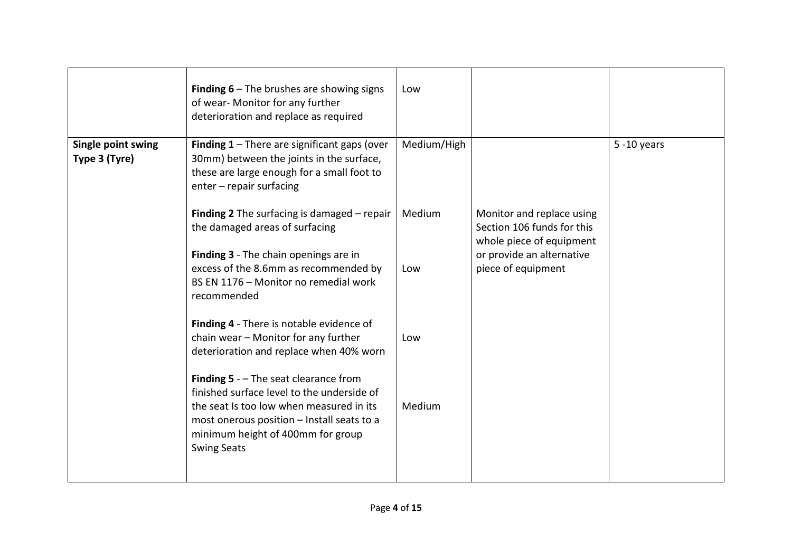|                                     | <b>Finding 6</b> $-$ The brushes are showing signs<br>of wear- Monitor for any further<br>deterioration and replace as required                                                                                                                   | Low         |                                                                                                                  |                |
|-------------------------------------|---------------------------------------------------------------------------------------------------------------------------------------------------------------------------------------------------------------------------------------------------|-------------|------------------------------------------------------------------------------------------------------------------|----------------|
| Single point swing<br>Type 3 (Tyre) | <b>Finding 1</b> $-$ There are significant gaps (over<br>30mm) between the joints in the surface,<br>these are large enough for a small foot to<br>enter - repair surfacing                                                                       | Medium/High |                                                                                                                  | $5 - 10$ years |
|                                     | <b>Finding 2</b> The surfacing is damaged $-$ repair<br>the damaged areas of surfacing<br>Finding 3 - The chain openings are in                                                                                                                   | Medium      | Monitor and replace using<br>Section 106 funds for this<br>whole piece of equipment<br>or provide an alternative |                |
|                                     | excess of the 8.6mm as recommended by<br>BS EN 1176 - Monitor no remedial work<br>recommended                                                                                                                                                     | Low         | piece of equipment                                                                                               |                |
|                                     | Finding 4 - There is notable evidence of<br>chain wear - Monitor for any further<br>deterioration and replace when 40% worn                                                                                                                       | Low         |                                                                                                                  |                |
|                                     | <b>Finding 5</b> - $-$ The seat clearance from<br>finished surface level to the underside of<br>the seat Is too low when measured in its<br>most onerous position - Install seats to a<br>minimum height of 400mm for group<br><b>Swing Seats</b> | Medium      |                                                                                                                  |                |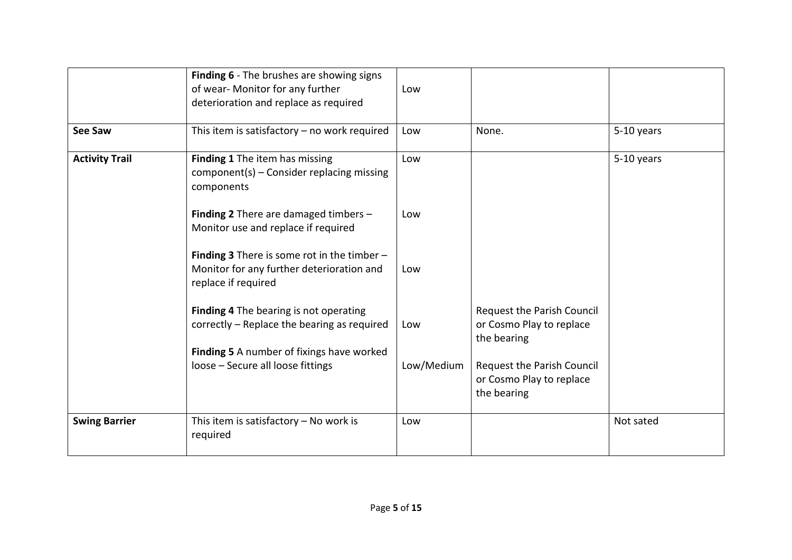|                       | Finding 6 - The brushes are showing signs<br>of wear- Monitor for any further<br>deterioration and replace as required   | Low        |                                                                       |            |
|-----------------------|--------------------------------------------------------------------------------------------------------------------------|------------|-----------------------------------------------------------------------|------------|
| <b>See Saw</b>        | This item is satisfactory $-$ no work required                                                                           | Low        | None.                                                                 | 5-10 years |
| <b>Activity Trail</b> | Finding 1 The item has missing<br>$component(s)$ – Consider replacing missing<br>components                              | Low        |                                                                       | 5-10 years |
|                       | Finding 2 There are damaged timbers $-$<br>Monitor use and replace if required                                           | Low        |                                                                       |            |
|                       | <b>Finding 3</b> There is some rot in the timber $-$<br>Monitor for any further deterioration and<br>replace if required | Low        |                                                                       |            |
|                       | Finding 4 The bearing is not operating<br>correctly - Replace the bearing as required                                    | Low        | Request the Parish Council<br>or Cosmo Play to replace<br>the bearing |            |
|                       | Finding 5 A number of fixings have worked<br>loose - Secure all loose fittings                                           | Low/Medium | Request the Parish Council<br>or Cosmo Play to replace<br>the bearing |            |
| <b>Swing Barrier</b>  | This item is satisfactory $-$ No work is<br>required                                                                     | Low        |                                                                       | Not sated  |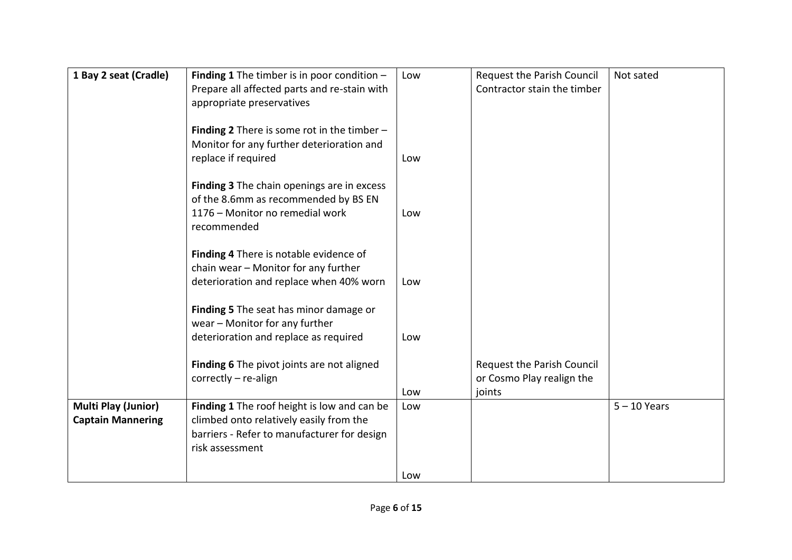| 1 Bay 2 seat (Cradle)      | Finding 1 The timber is in poor condition $-$        | Low | Request the Parish Council  | Not sated      |
|----------------------------|------------------------------------------------------|-----|-----------------------------|----------------|
|                            | Prepare all affected parts and re-stain with         |     | Contractor stain the timber |                |
|                            | appropriate preservatives                            |     |                             |                |
|                            |                                                      |     |                             |                |
|                            | <b>Finding 2</b> There is some rot in the timber $-$ |     |                             |                |
|                            | Monitor for any further deterioration and            |     |                             |                |
|                            | replace if required                                  | Low |                             |                |
|                            |                                                      |     |                             |                |
|                            | Finding 3 The chain openings are in excess           |     |                             |                |
|                            | of the 8.6mm as recommended by BS EN                 |     |                             |                |
|                            | 1176 - Monitor no remedial work                      | Low |                             |                |
|                            | recommended                                          |     |                             |                |
|                            |                                                      |     |                             |                |
|                            | Finding 4 There is notable evidence of               |     |                             |                |
|                            | chain wear - Monitor for any further                 |     |                             |                |
|                            | deterioration and replace when 40% worn              | Low |                             |                |
|                            |                                                      |     |                             |                |
|                            | Finding 5 The seat has minor damage or               |     |                             |                |
|                            | wear - Monitor for any further                       |     |                             |                |
|                            | deterioration and replace as required                | Low |                             |                |
|                            |                                                      |     |                             |                |
|                            | Finding 6 The pivot joints are not aligned           |     | Request the Parish Council  |                |
|                            | $correctly - re-align$                               |     | or Cosmo Play realign the   |                |
|                            |                                                      | Low | joints                      |                |
| <b>Multi Play (Junior)</b> | Finding 1 The roof height is low and can be          | Low |                             | $5 - 10$ Years |
| <b>Captain Mannering</b>   | climbed onto relatively easily from the              |     |                             |                |
|                            | barriers - Refer to manufacturer for design          |     |                             |                |
|                            | risk assessment                                      |     |                             |                |
|                            |                                                      |     |                             |                |
|                            |                                                      | Low |                             |                |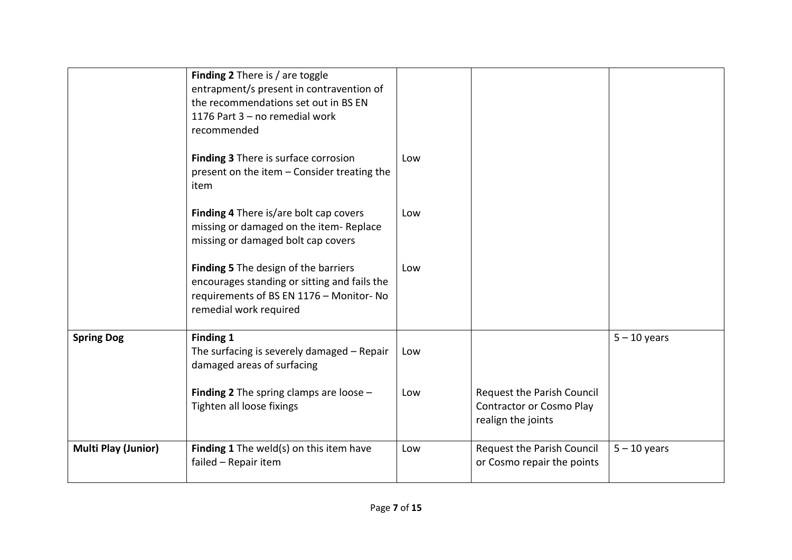|                            | Finding 2 There is / are toggle<br>entrapment/s present in contravention of<br>the recommendations set out in BS EN<br>1176 Part 3 - no remedial work<br>recommended |     |                                                                                            |                |
|----------------------------|----------------------------------------------------------------------------------------------------------------------------------------------------------------------|-----|--------------------------------------------------------------------------------------------|----------------|
|                            | Finding 3 There is surface corrosion<br>present on the item - Consider treating the<br>item                                                                          | Low |                                                                                            |                |
|                            | Finding 4 There is/are bolt cap covers<br>missing or damaged on the item-Replace<br>missing or damaged bolt cap covers                                               | Low |                                                                                            |                |
|                            | Finding 5 The design of the barriers<br>encourages standing or sitting and fails the<br>requirements of BS EN 1176 - Monitor- No<br>remedial work required           | Low |                                                                                            |                |
| <b>Spring Dog</b>          | Finding 1<br>The surfacing is severely damaged - Repair<br>damaged areas of surfacing                                                                                | Low |                                                                                            | $5 - 10$ years |
|                            | <b>Finding 2</b> The spring clamps are loose $-$<br>Tighten all loose fixings                                                                                        | Low | <b>Request the Parish Council</b><br><b>Contractor or Cosmo Play</b><br>realign the joints |                |
| <b>Multi Play (Junior)</b> | Finding 1 The weld(s) on this item have<br>failed - Repair item                                                                                                      | Low | Request the Parish Council<br>or Cosmo repair the points                                   | $5 - 10$ years |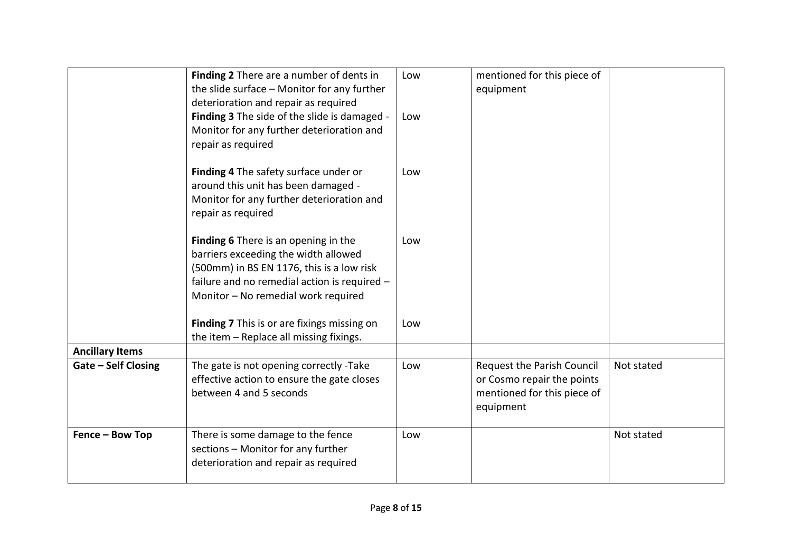|                        | Finding 2 There are a number of dents in<br>the slide surface - Monitor for any further<br>deterioration and repair as required<br>Finding 3 The side of the slide is damaged -<br>Monitor for any further deterioration and<br>repair as required | Low<br>Low | mentioned for this piece of<br>equipment                                                             |            |
|------------------------|----------------------------------------------------------------------------------------------------------------------------------------------------------------------------------------------------------------------------------------------------|------------|------------------------------------------------------------------------------------------------------|------------|
|                        | Finding 4 The safety surface under or<br>around this unit has been damaged -<br>Monitor for any further deterioration and<br>repair as required                                                                                                    | Low        |                                                                                                      |            |
|                        | Finding 6 There is an opening in the<br>barriers exceeding the width allowed<br>(500mm) in BS EN 1176, this is a low risk<br>failure and no remedial action is required -<br>Monitor - No remedial work required                                   | Low        |                                                                                                      |            |
|                        | Finding 7 This is or are fixings missing on<br>the item - Replace all missing fixings.                                                                                                                                                             | Low        |                                                                                                      |            |
| <b>Ancillary Items</b> |                                                                                                                                                                                                                                                    |            |                                                                                                      |            |
| Gate - Self Closing    | The gate is not opening correctly -Take<br>effective action to ensure the gate closes<br>between 4 and 5 seconds                                                                                                                                   | Low        | Request the Parish Council<br>or Cosmo repair the points<br>mentioned for this piece of<br>equipment | Not stated |
| Fence - Bow Top        | There is some damage to the fence<br>sections - Monitor for any further<br>deterioration and repair as required                                                                                                                                    | Low        |                                                                                                      | Not stated |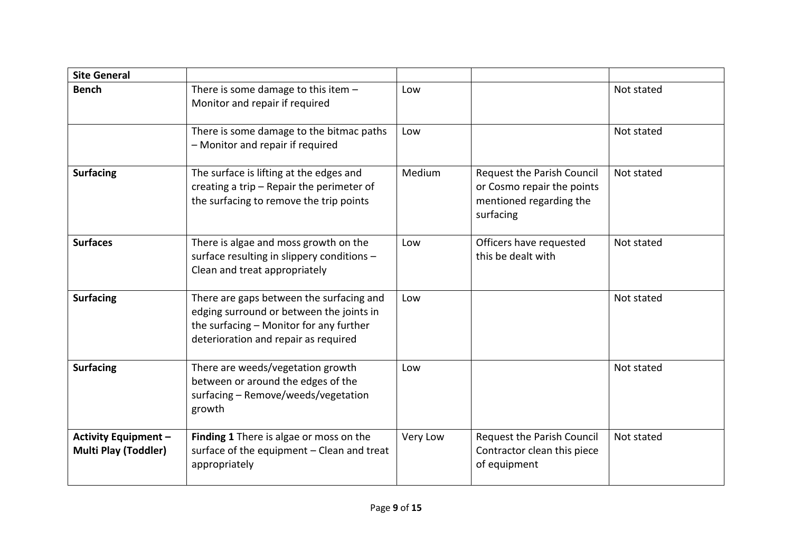| <b>Site General</b>                                        |                                                                                                                                                                         |          |                                                                                                         |            |
|------------------------------------------------------------|-------------------------------------------------------------------------------------------------------------------------------------------------------------------------|----------|---------------------------------------------------------------------------------------------------------|------------|
| <b>Bench</b>                                               | There is some damage to this item -<br>Monitor and repair if required                                                                                                   | Low      |                                                                                                         | Not stated |
|                                                            | There is some damage to the bitmac paths<br>- Monitor and repair if required                                                                                            | Low      |                                                                                                         | Not stated |
| <b>Surfacing</b>                                           | The surface is lifting at the edges and<br>creating a trip $-$ Repair the perimeter of<br>the surfacing to remove the trip points                                       | Medium   | <b>Request the Parish Council</b><br>or Cosmo repair the points<br>mentioned regarding the<br>surfacing | Not stated |
| <b>Surfaces</b>                                            | There is algae and moss growth on the<br>surface resulting in slippery conditions -<br>Clean and treat appropriately                                                    | Low      | Officers have requested<br>this be dealt with                                                           | Not stated |
| <b>Surfacing</b>                                           | There are gaps between the surfacing and<br>edging surround or between the joints in<br>the surfacing - Monitor for any further<br>deterioration and repair as required | Low      |                                                                                                         | Not stated |
| <b>Surfacing</b>                                           | There are weeds/vegetation growth<br>between or around the edges of the<br>surfacing - Remove/weeds/vegetation<br>growth                                                | Low      |                                                                                                         | Not stated |
| <b>Activity Equipment -</b><br><b>Multi Play (Toddler)</b> | Finding 1 There is algae or moss on the<br>surface of the equipment - Clean and treat<br>appropriately                                                                  | Very Low | Request the Parish Council<br>Contractor clean this piece<br>of equipment                               | Not stated |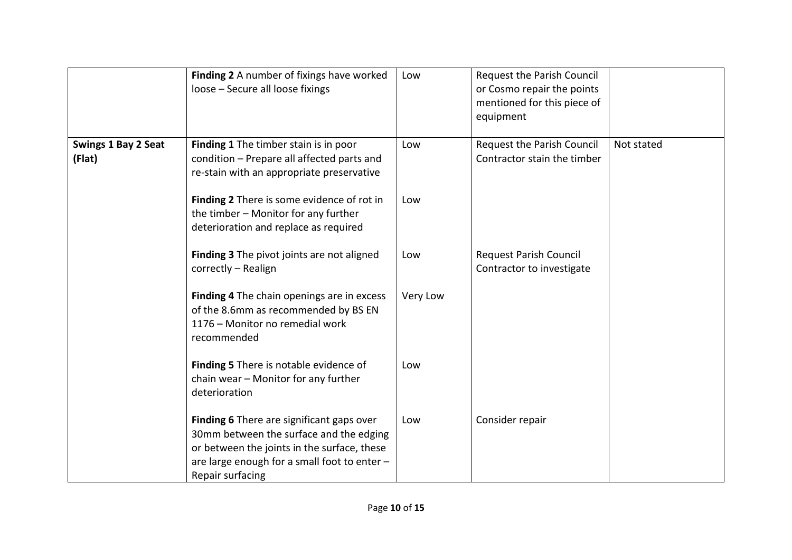|                                      | Finding 2 A number of fixings have worked<br>loose - Secure all loose fixings                                                                                                                           | Low      | Request the Parish Council<br>or Cosmo repair the points<br>mentioned for this piece of<br>equipment |            |
|--------------------------------------|---------------------------------------------------------------------------------------------------------------------------------------------------------------------------------------------------------|----------|------------------------------------------------------------------------------------------------------|------------|
| <b>Swings 1 Bay 2 Seat</b><br>(Flat) | Finding 1 The timber stain is in poor<br>condition - Prepare all affected parts and<br>re-stain with an appropriate preservative                                                                        | Low      | Request the Parish Council<br>Contractor stain the timber                                            | Not stated |
|                                      | Finding 2 There is some evidence of rot in<br>the timber - Monitor for any further<br>deterioration and replace as required                                                                             | Low      |                                                                                                      |            |
|                                      | Finding 3 The pivot joints are not aligned<br>correctly - Realign                                                                                                                                       | Low      | <b>Request Parish Council</b><br>Contractor to investigate                                           |            |
|                                      | Finding 4 The chain openings are in excess<br>of the 8.6mm as recommended by BS EN<br>1176 - Monitor no remedial work<br>recommended                                                                    | Very Low |                                                                                                      |            |
|                                      | Finding 5 There is notable evidence of<br>chain wear - Monitor for any further<br>deterioration                                                                                                         | Low      |                                                                                                      |            |
|                                      | Finding 6 There are significant gaps over<br>30mm between the surface and the edging<br>or between the joints in the surface, these<br>are large enough for a small foot to enter -<br>Repair surfacing | Low      | Consider repair                                                                                      |            |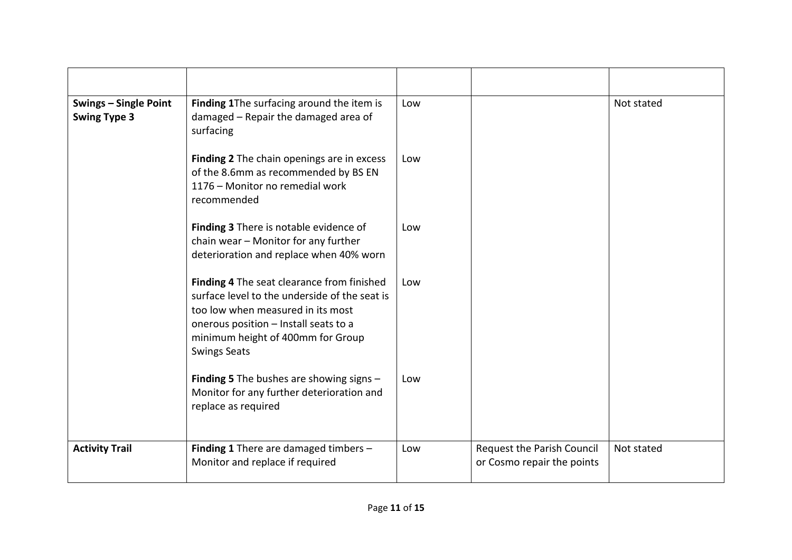| <b>Swings - Single Point</b><br><b>Swing Type 3</b> | Finding 1The surfacing around the item is<br>damaged - Repair the damaged area of<br>surfacing                                                                                                                                        | Low |                                                          | Not stated |
|-----------------------------------------------------|---------------------------------------------------------------------------------------------------------------------------------------------------------------------------------------------------------------------------------------|-----|----------------------------------------------------------|------------|
|                                                     | Finding 2 The chain openings are in excess<br>of the 8.6mm as recommended by BS EN<br>1176 - Monitor no remedial work<br>recommended                                                                                                  | Low |                                                          |            |
|                                                     | Finding 3 There is notable evidence of<br>chain wear - Monitor for any further<br>deterioration and replace when 40% worn                                                                                                             | Low |                                                          |            |
|                                                     | Finding 4 The seat clearance from finished<br>surface level to the underside of the seat is<br>too low when measured in its most<br>onerous position - Install seats to a<br>minimum height of 400mm for Group<br><b>Swings Seats</b> | Low |                                                          |            |
|                                                     | <b>Finding 5</b> The bushes are showing signs $-$<br>Monitor for any further deterioration and<br>replace as required                                                                                                                 | Low |                                                          |            |
| <b>Activity Trail</b>                               | Finding 1 There are damaged timbers -<br>Monitor and replace if required                                                                                                                                                              | Low | Request the Parish Council<br>or Cosmo repair the points | Not stated |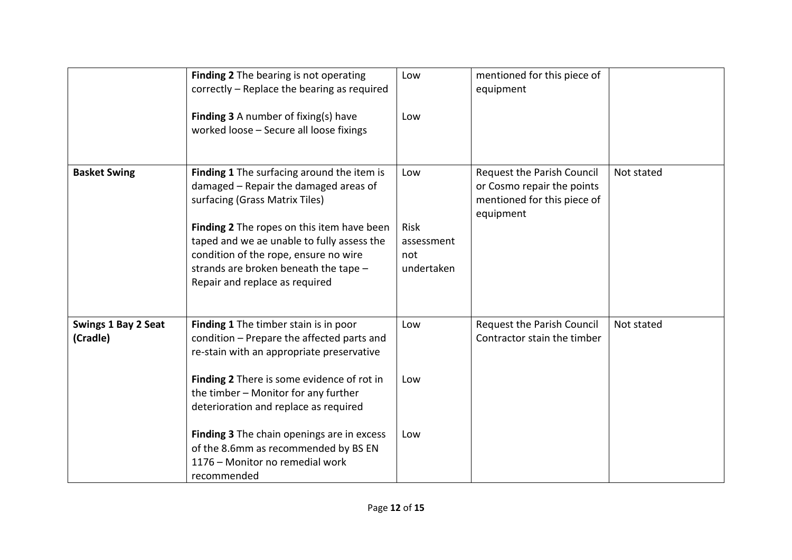|                                        | Finding 2 The bearing is not operating<br>correctly – Replace the bearing as required<br><b>Finding 3</b> A number of fixing(s) have<br>worked loose - Secure all loose fixings                                                                                                                                                       | Low<br>Low                                     | mentioned for this piece of<br>equipment                                                             |            |
|----------------------------------------|---------------------------------------------------------------------------------------------------------------------------------------------------------------------------------------------------------------------------------------------------------------------------------------------------------------------------------------|------------------------------------------------|------------------------------------------------------------------------------------------------------|------------|
| <b>Basket Swing</b>                    | Finding 1 The surfacing around the item is<br>damaged - Repair the damaged areas of<br>surfacing (Grass Matrix Tiles)<br>Finding 2 The ropes on this item have been<br>taped and we ae unable to fully assess the<br>condition of the rope, ensure no wire<br>strands are broken beneath the tape -<br>Repair and replace as required | Low<br>Risk<br>assessment<br>not<br>undertaken | Request the Parish Council<br>or Cosmo repair the points<br>mentioned for this piece of<br>equipment | Not stated |
| <b>Swings 1 Bay 2 Seat</b><br>(Cradle) | Finding 1 The timber stain is in poor<br>condition - Prepare the affected parts and<br>re-stain with an appropriate preservative<br>Finding 2 There is some evidence of rot in<br>the timber - Monitor for any further<br>deterioration and replace as required                                                                       | Low<br>Low                                     | <b>Request the Parish Council</b><br>Contractor stain the timber                                     | Not stated |
|                                        | Finding 3 The chain openings are in excess<br>of the 8.6mm as recommended by BS EN<br>1176 – Monitor no remedial work<br>recommended                                                                                                                                                                                                  | Low                                            |                                                                                                      |            |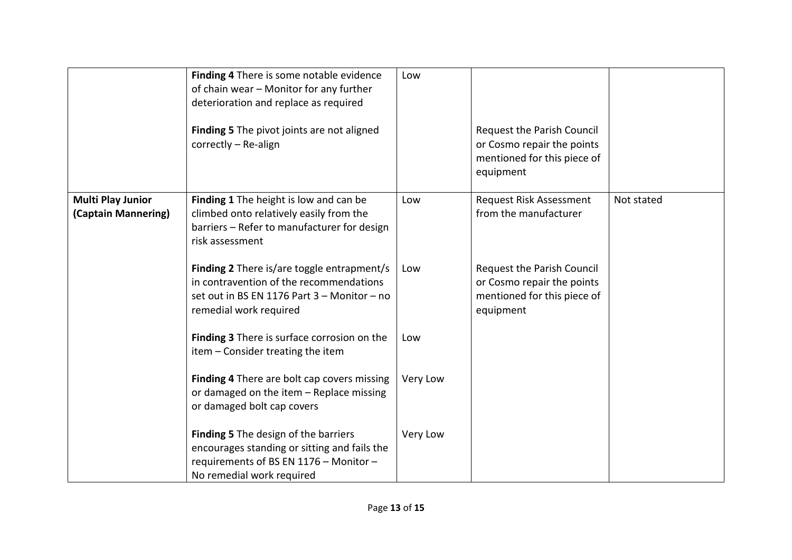|                                                 | Finding 4 There is some notable evidence<br>of chain wear - Monitor for any further<br>deterioration and replace as required<br>Finding 5 The pivot joints are not aligned<br>correctly - Re-align | Low      | <b>Request the Parish Council</b><br>or Cosmo repair the points<br>mentioned for this piece of<br>equipment |            |
|-------------------------------------------------|----------------------------------------------------------------------------------------------------------------------------------------------------------------------------------------------------|----------|-------------------------------------------------------------------------------------------------------------|------------|
| <b>Multi Play Junior</b><br>(Captain Mannering) | Finding 1 The height is low and can be<br>climbed onto relatively easily from the<br>barriers - Refer to manufacturer for design<br>risk assessment                                                | Low      | Request Risk Assessment<br>from the manufacturer                                                            | Not stated |
|                                                 | Finding 2 There is/are toggle entrapment/s<br>in contravention of the recommendations<br>set out in BS EN 1176 Part 3 - Monitor - no<br>remedial work required                                     | Low      | <b>Request the Parish Council</b><br>or Cosmo repair the points<br>mentioned for this piece of<br>equipment |            |
|                                                 | Finding 3 There is surface corrosion on the<br>item - Consider treating the item                                                                                                                   | Low      |                                                                                                             |            |
|                                                 | Finding 4 There are bolt cap covers missing<br>or damaged on the item - Replace missing<br>or damaged bolt cap covers                                                                              | Very Low |                                                                                                             |            |
|                                                 | <b>Finding 5</b> The design of the barriers<br>encourages standing or sitting and fails the<br>requirements of BS EN 1176 - Monitor -<br>No remedial work required                                 | Very Low |                                                                                                             |            |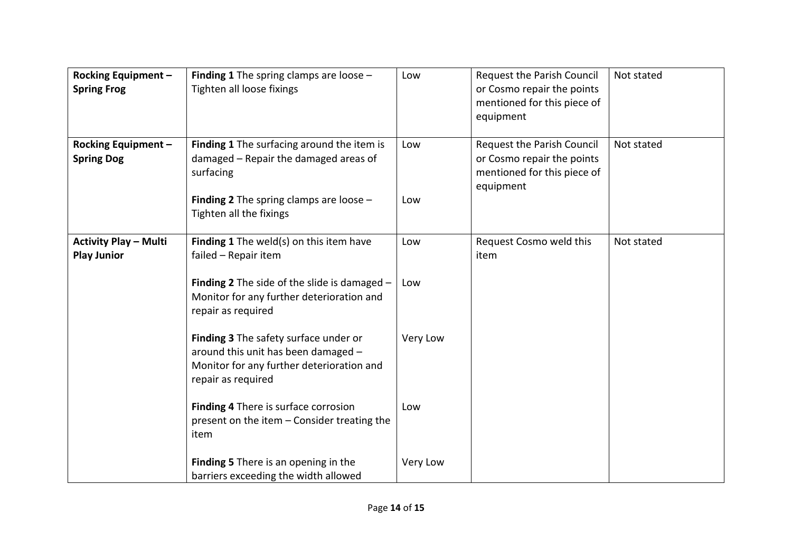| <b>Rocking Equipment -</b><br><b>Spring Frog</b>   | Finding 1 The spring clamps are loose -<br>Tighten all loose fixings                                                                                                            | Low        | Request the Parish Council<br>or Cosmo repair the points<br>mentioned for this piece of<br>equipment | Not stated |
|----------------------------------------------------|---------------------------------------------------------------------------------------------------------------------------------------------------------------------------------|------------|------------------------------------------------------------------------------------------------------|------------|
| <b>Rocking Equipment -</b><br><b>Spring Dog</b>    | Finding 1 The surfacing around the item is<br>damaged - Repair the damaged areas of<br>surfacing<br><b>Finding 2</b> The spring clamps are loose $-$<br>Tighten all the fixings | Low<br>Low | Request the Parish Council<br>or Cosmo repair the points<br>mentioned for this piece of<br>equipment | Not stated |
|                                                    |                                                                                                                                                                                 |            |                                                                                                      |            |
| <b>Activity Play - Multi</b><br><b>Play Junior</b> | <b>Finding 1</b> The weld(s) on this item have<br>failed - Repair item                                                                                                          | Low        | Request Cosmo weld this<br>item                                                                      | Not stated |
|                                                    | <b>Finding 2</b> The side of the slide is damaged $-$<br>Monitor for any further deterioration and<br>repair as required                                                        | Low        |                                                                                                      |            |
|                                                    | Finding 3 The safety surface under or<br>around this unit has been damaged -<br>Monitor for any further deterioration and<br>repair as required                                 | Very Low   |                                                                                                      |            |
|                                                    | Finding 4 There is surface corrosion<br>present on the item - Consider treating the<br>item                                                                                     | Low        |                                                                                                      |            |
|                                                    | Finding 5 There is an opening in the<br>barriers exceeding the width allowed                                                                                                    | Very Low   |                                                                                                      |            |